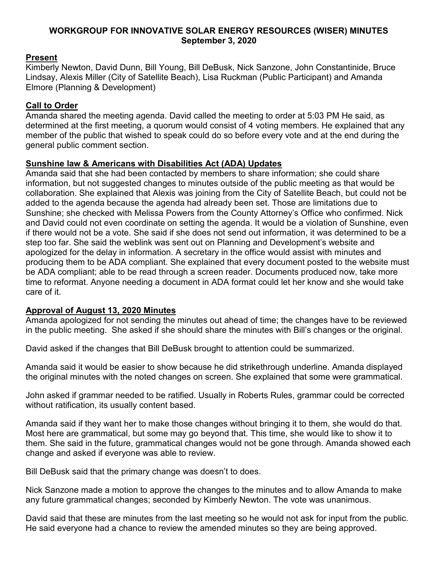### **WORKGROUP FOR INNOVATIVE SOLAR ENERGY RESOURCES (WISER) MINUTES September 3, 2020**

# **Present**

Kimberly Newton, David Dunn, Bill Young, Bill DeBusk, Nick Sanzone, John Constantinide, Bruce Lindsay, Alexis Miller (City of Satellite Beach), Lisa Ruckman (Public Participant) and Amanda Elmore (Planning & Development)

# **Call to Order**

Amanda shared the meeting agenda. David called the meeting to order at 5:03 PM He said, as determined at the first meeting, a quorum would consist of 4 voting members. He explained that any member of the public that wished to speak could do so before every vote and at the end during the general public comment section.

## **Sunshine law & Americans with Disabilities Act (ADA) Updates**

Amanda said that she had been contacted by members to share information; she could share information, but not suggested changes to minutes outside of the public meeting as that would be collaboration. She explained that Alexis was joining from the City of Satellite Beach, but could not be added to the agenda because the agenda had already been set. Those are limitations due to Sunshine; she checked with Melissa Powers from the County Attorney's Office who confirmed. Nick and David could not even coordinate on setting the agenda. It would be a violation of Sunshine, even if there would not be a vote. She said if she does not send out information, it was determined to be a step too far. She said the weblink was sent out on Planning and Development's website and apologized for the delay in information. A secretary in the office would assist with minutes and producing them to be ADA compliant. She explained that every document posted to the website must be ADA compliant; able to be read through a screen reader. Documents produced now, take more time to reformat. Anyone needing a document in ADA format could let her know and she would take care of it.

### **Approval of August 13, 2020 Minutes**

Amanda apologized for not sending the minutes out ahead of time; the changes have to be reviewed in the public meeting. She asked if she should share the minutes with Bill's changes or the original.

David asked if the changes that Bill DeBusk brought to attention could be summarized.

Amanda said it would be easier to show because he did strikethrough underline. Amanda displayed the original minutes with the noted changes on screen. She explained that some were grammatical.

John asked if grammar needed to be ratified. Usually in Roberts Rules, grammar could be corrected without ratification, its usually content based.

Amanda said if they want her to make those changes without bringing it to them, she would do that. Most here are grammatical, but some may go beyond that. This time, she would like to show it to them. She said in the future, grammatical changes would not be gone through. Amanda showed each change and asked if everyone was able to review.

Bill DeBusk said that the primary change was doesn't to does.

Nick Sanzone made a motion to approve the changes to the minutes and to allow Amanda to make any future grammatical changes; seconded by Kimberly Newton. The vote was unanimous.

David said that these are minutes from the last meeting so he would not ask for input from the public. He said everyone had a chance to review the amended minutes so they are being approved.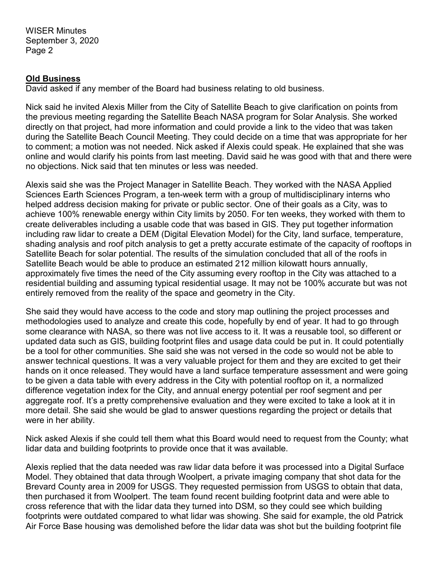## **Old Business**

David asked if any member of the Board had business relating to old business.

Nick said he invited Alexis Miller from the City of Satellite Beach to give clarification on points from the previous meeting regarding the Satellite Beach NASA program for Solar Analysis. She worked directly on that project, had more information and could provide a link to the video that was taken during the Satellite Beach Council Meeting. They could decide on a time that was appropriate for her to comment; a motion was not needed. Nick asked if Alexis could speak. He explained that she was online and would clarify his points from last meeting. David said he was good with that and there were no objections. Nick said that ten minutes or less was needed.

Alexis said she was the Project Manager in Satellite Beach. They worked with the NASA Applied Sciences Earth Sciences Program, a ten-week term with a group of multidisciplinary interns who helped address decision making for private or public sector. One of their goals as a City, was to achieve 100% renewable energy within City limits by 2050. For ten weeks, they worked with them to create deliverables including a usable code that was based in GIS. They put together information including raw lidar to create a DEM (Digital Elevation Model) for the City, land surface, temperature, shading analysis and roof pitch analysis to get a pretty accurate estimate of the capacity of rooftops in Satellite Beach for solar potential. The results of the simulation concluded that all of the roofs in Satellite Beach would be able to produce an estimated 212 million kilowatt hours annually, approximately five times the need of the City assuming every rooftop in the City was attached to a residential building and assuming typical residential usage. It may not be 100% accurate but was not entirely removed from the reality of the space and geometry in the City.

She said they would have access to the code and story map outlining the project processes and methodologies used to analyze and create this code, hopefully by end of year. It had to go through some clearance with NASA, so there was not live access to it. It was a reusable tool, so different or updated data such as GIS, building footprint files and usage data could be put in. It could potentially be a tool for other communities. She said she was not versed in the code so would not be able to answer technical questions. It was a very valuable project for them and they are excited to get their hands on it once released. They would have a land surface temperature assessment and were going to be given a data table with every address in the City with potential rooftop on it, a normalized difference vegetation index for the City, and annual energy potential per roof segment and per aggregate roof. It's a pretty comprehensive evaluation and they were excited to take a look at it in more detail. She said she would be glad to answer questions regarding the project or details that were in her ability.

Nick asked Alexis if she could tell them what this Board would need to request from the County; what lidar data and building footprints to provide once that it was available.

Alexis replied that the data needed was raw lidar data before it was processed into a Digital Surface Model. They obtained that data through Woolpert, a private imaging company that shot data for the Brevard County area in 2009 for USGS. They requested permission from USGS to obtain that data, then purchased it from Woolpert. The team found recent building footprint data and were able to cross reference that with the lidar data they turned into DSM, so they could see which building footprints were outdated compared to what lidar was showing. She said for example, the old Patrick Air Force Base housing was demolished before the lidar data was shot but the building footprint file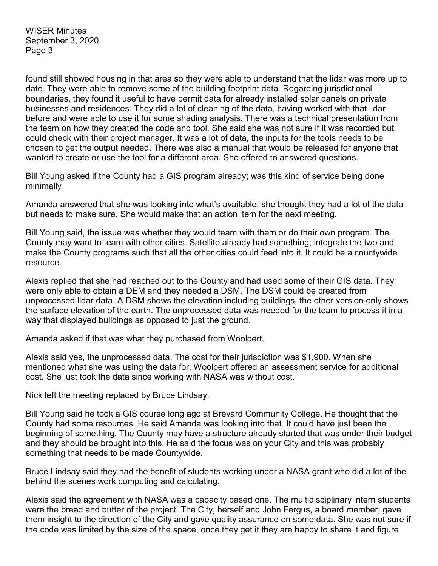found still showed housing in that area so they were able to understand that the lidar was more up to date. They were able to remove some of the building footprint data. Regarding jurisdictional boundaries, they found it useful to have permit data for already installed solar panels on private businesses and residences. They did a lot of cleaning of the data, having worked with that lidar before and were able to use it for some shading analysis. There was a technical presentation from the team on how they created the code and tool. She said she was not sure if it was recorded but could check with their project manager. It was a lot of data, the inputs for the tools needs to be chosen to get the output needed. There was also a manual that would be released for anyone that wanted to create or use the tool for a different area. She offered to answered questions.

Bill Young asked if the County had a GIS program already; was this kind of service being done minimally

Amanda answered that she was looking into what's available; she thought they had a lot of the data but needs to make sure. She would make that an action item for the next meeting.

Bill Young said, the issue was whether they would team with them or do their own program. The County may want to team with other cities. Satellite already had something; integrate the two and make the County programs such that all the other cities could feed into it. It could be a countywide resource.

Alexis replied that she had reached out to the County and had used some of their GIS data. They were only able to obtain a DEM and they needed a DSM. The DSM could be created from unprocessed lidar data. A DSM shows the elevation including buildings, the other version only shows the surface elevation of the earth. The unprocessed data was needed for the team to process it in a way that displayed buildings as opposed to just the ground.

Amanda asked if that was what they purchased from Woolpert.

Alexis said yes, the unprocessed data. The cost for their jurisdiction was \$1,900. When she mentioned what she was using the data for, Woolpert offered an assessment service for additional cost. She just took the data since working with NASA was without cost.

Nick left the meeting replaced by Bruce Lindsay.

Bill Young said he took a GIS course long ago at Brevard Community College. He thought that the County had some resources. He said Amanda was looking into that. It could have just been the beginning of something. The County may have a structure already started that was under their budget and they should be brought into this. He said the focus was on your City and this was probably something that needs to be made Countywide.

Bruce Lindsay said they had the benefit of students working under a NASA grant who did a lot of the behind the scenes work computing and calculating.

Alexis said the agreement with NASA was a capacity based one. The multidisciplinary intern students were the bread and butter of the project. The City, herself and John Fergus, a board member, gave them insight to the direction of the City and gave quality assurance on some data. She was not sure if the code was limited by the size of the space, once they get it they are happy to share it and figure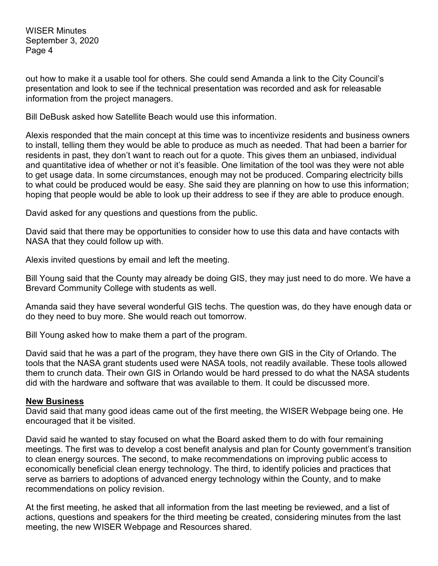out how to make it a usable tool for others. She could send Amanda a link to the City Council's presentation and look to see if the technical presentation was recorded and ask for releasable information from the project managers.

Bill DeBusk asked how Satellite Beach would use this information.

Alexis responded that the main concept at this time was to incentivize residents and business owners to install, telling them they would be able to produce as much as needed. That had been a barrier for residents in past, they don't want to reach out for a quote. This gives them an unbiased, individual and quantitative idea of whether or not it's feasible. One limitation of the tool was they were not able to get usage data. In some circumstances, enough may not be produced. Comparing electricity bills to what could be produced would be easy. She said they are planning on how to use this information; hoping that people would be able to look up their address to see if they are able to produce enough.

David asked for any questions and questions from the public.

David said that there may be opportunities to consider how to use this data and have contacts with NASA that they could follow up with.

Alexis invited questions by email and left the meeting.

Bill Young said that the County may already be doing GIS, they may just need to do more. We have a Brevard Community College with students as well.

Amanda said they have several wonderful GIS techs. The question was, do they have enough data or do they need to buy more. She would reach out tomorrow.

Bill Young asked how to make them a part of the program.

David said that he was a part of the program, they have there own GIS in the City of Orlando. The tools that the NASA grant students used were NASA tools, not readily available. These tools allowed them to crunch data. Their own GIS in Orlando would be hard pressed to do what the NASA students did with the hardware and software that was available to them. It could be discussed more.

#### **New Business**

David said that many good ideas came out of the first meeting, the WISER Webpage being one. He encouraged that it be visited.

David said he wanted to stay focused on what the Board asked them to do with four remaining meetings. The first was to develop a cost benefit analysis and plan for County government's transition to clean energy sources. The second, to make recommendations on improving public access to economically beneficial clean energy technology. The third, to identify policies and practices that serve as barriers to adoptions of advanced energy technology within the County, and to make recommendations on policy revision.

At the first meeting, he asked that all information from the last meeting be reviewed, and a list of actions, questions and speakers for the third meeting be created, considering minutes from the last meeting, the new WISER Webpage and Resources shared.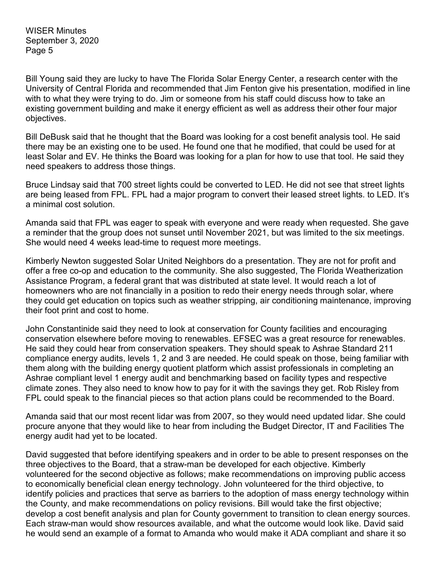Bill Young said they are lucky to have The Florida Solar Energy Center, a research center with the University of Central Florida and recommended that Jim Fenton give his presentation, modified in line with to what they were trying to do. Jim or someone from his staff could discuss how to take an existing government building and make it energy efficient as well as address their other four major objectives.

Bill DeBusk said that he thought that the Board was looking for a cost benefit analysis tool. He said there may be an existing one to be used. He found one that he modified, that could be used for at least Solar and EV. He thinks the Board was looking for a plan for how to use that tool. He said they need speakers to address those things.

Bruce Lindsay said that 700 street lights could be converted to LED. He did not see that street lights are being leased from FPL. FPL had a major program to convert their leased street lights. to LED. It's a minimal cost solution.

Amanda said that FPL was eager to speak with everyone and were ready when requested. She gave a reminder that the group does not sunset until November 2021, but was limited to the six meetings. She would need 4 weeks lead-time to request more meetings.

Kimberly Newton suggested Solar United Neighbors do a presentation. They are not for profit and offer a free co-op and education to the community. She also suggested, The Florida Weatherization Assistance Program, a federal grant that was distributed at state level. It would reach a lot of homeowners who are not financially in a position to redo their energy needs through solar, where they could get education on topics such as weather stripping, air conditioning maintenance, improving their foot print and cost to home.

John Constantinide said they need to look at conservation for County facilities and encouraging conservation elsewhere before moving to renewables. EFSEC was a great resource for renewables. He said they could hear from conservation speakers. They should speak to Ashrae Standard 211 compliance energy audits, levels 1, 2 and 3 are needed. He could speak on those, being familiar with them along with the building energy quotient platform which assist professionals in completing an Ashrae compliant level 1 energy audit and benchmarking based on facility types and respective climate zones. They also need to know how to pay for it with the savings they get. Rob Risley from FPL could speak to the financial pieces so that action plans could be recommended to the Board.

Amanda said that our most recent lidar was from 2007, so they would need updated lidar. She could procure anyone that they would like to hear from including the Budget Director, IT and Facilities The energy audit had yet to be located.

David suggested that before identifying speakers and in order to be able to present responses on the three objectives to the Board, that a straw-man be developed for each objective. Kimberly volunteered for the second objective as follows; make recommendations on improving public access to economically beneficial clean energy technology. John volunteered for the third objective, to identify policies and practices that serve as barriers to the adoption of mass energy technology within the County, and make recommendations on policy revisions. Bill would take the first objective; develop a cost benefit analysis and plan for County government to transition to clean energy sources. Each straw-man would show resources available, and what the outcome would look like. David said he would send an example of a format to Amanda who would make it ADA compliant and share it so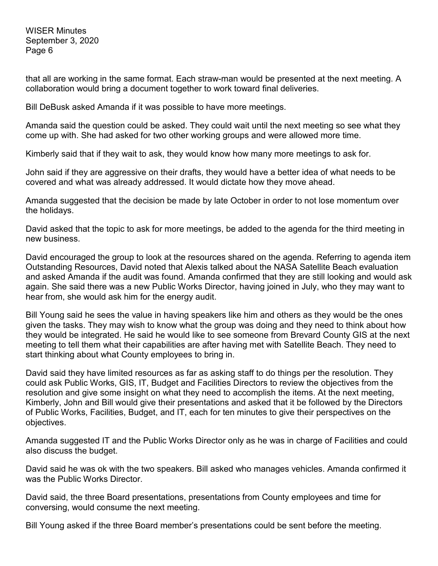that all are working in the same format. Each straw-man would be presented at the next meeting. A collaboration would bring a document together to work toward final deliveries.

Bill DeBusk asked Amanda if it was possible to have more meetings.

Amanda said the question could be asked. They could wait until the next meeting so see what they come up with. She had asked for two other working groups and were allowed more time.

Kimberly said that if they wait to ask, they would know how many more meetings to ask for.

John said if they are aggressive on their drafts, they would have a better idea of what needs to be covered and what was already addressed. It would dictate how they move ahead.

Amanda suggested that the decision be made by late October in order to not lose momentum over the holidays.

David asked that the topic to ask for more meetings, be added to the agenda for the third meeting in new business.

David encouraged the group to look at the resources shared on the agenda. Referring to agenda item Outstanding Resources, David noted that Alexis talked about the NASA Satellite Beach evaluation and asked Amanda if the audit was found. Amanda confirmed that they are still looking and would ask again. She said there was a new Public Works Director, having joined in July, who they may want to hear from, she would ask him for the energy audit.

Bill Young said he sees the value in having speakers like him and others as they would be the ones given the tasks. They may wish to know what the group was doing and they need to think about how they would be integrated. He said he would like to see someone from Brevard County GIS at the next meeting to tell them what their capabilities are after having met with Satellite Beach. They need to start thinking about what County employees to bring in.

David said they have limited resources as far as asking staff to do things per the resolution. They could ask Public Works, GIS, IT, Budget and Facilities Directors to review the objectives from the resolution and give some insight on what they need to accomplish the items. At the next meeting, Kimberly, John and Bill would give their presentations and asked that it be followed by the Directors of Public Works, Facilities, Budget, and IT, each for ten minutes to give their perspectives on the objectives.

Amanda suggested IT and the Public Works Director only as he was in charge of Facilities and could also discuss the budget.

David said he was ok with the two speakers. Bill asked who manages vehicles. Amanda confirmed it was the Public Works Director.

David said, the three Board presentations, presentations from County employees and time for conversing, would consume the next meeting.

Bill Young asked if the three Board member's presentations could be sent before the meeting.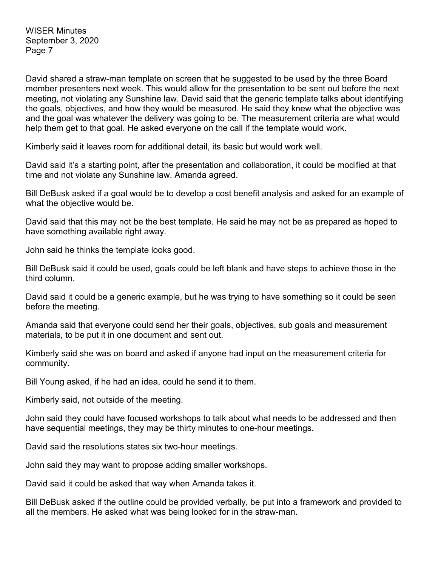David shared a straw-man template on screen that he suggested to be used by the three Board member presenters next week. This would allow for the presentation to be sent out before the next meeting, not violating any Sunshine law. David said that the generic template talks about identifying the goals, objectives, and how they would be measured. He said they knew what the objective was and the goal was whatever the delivery was going to be. The measurement criteria are what would help them get to that goal. He asked everyone on the call if the template would work.

Kimberly said it leaves room for additional detail, its basic but would work well.

David said it's a starting point, after the presentation and collaboration, it could be modified at that time and not violate any Sunshine law. Amanda agreed.

Bill DeBusk asked if a goal would be to develop a cost benefit analysis and asked for an example of what the objective would be.

David said that this may not be the best template. He said he may not be as prepared as hoped to have something available right away.

John said he thinks the template looks good.

Bill DeBusk said it could be used, goals could be left blank and have steps to achieve those in the third column.

David said it could be a generic example, but he was trying to have something so it could be seen before the meeting.

Amanda said that everyone could send her their goals, objectives, sub goals and measurement materials, to be put it in one document and sent out.

Kimberly said she was on board and asked if anyone had input on the measurement criteria for community.

Bill Young asked, if he had an idea, could he send it to them.

Kimberly said, not outside of the meeting.

John said they could have focused workshops to talk about what needs to be addressed and then have sequential meetings, they may be thirty minutes to one-hour meetings.

David said the resolutions states six two-hour meetings.

John said they may want to propose adding smaller workshops.

David said it could be asked that way when Amanda takes it.

Bill DeBusk asked if the outline could be provided verbally, be put into a framework and provided to all the members. He asked what was being looked for in the straw-man.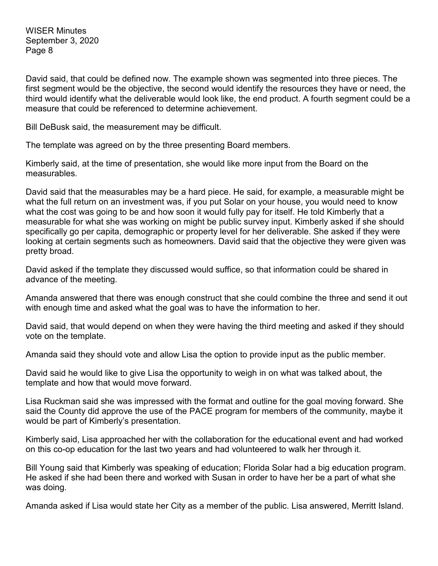David said, that could be defined now. The example shown was segmented into three pieces. The first segment would be the objective, the second would identify the resources they have or need, the third would identify what the deliverable would look like, the end product. A fourth segment could be a measure that could be referenced to determine achievement.

Bill DeBusk said, the measurement may be difficult.

The template was agreed on by the three presenting Board members.

Kimberly said, at the time of presentation, she would like more input from the Board on the measurables.

David said that the measurables may be a hard piece. He said, for example, a measurable might be what the full return on an investment was, if you put Solar on your house, you would need to know what the cost was going to be and how soon it would fully pay for itself. He told Kimberly that a measurable for what she was working on might be public survey input. Kimberly asked if she should specifically go per capita, demographic or property level for her deliverable. She asked if they were looking at certain segments such as homeowners. David said that the objective they were given was pretty broad.

David asked if the template they discussed would suffice, so that information could be shared in advance of the meeting.

Amanda answered that there was enough construct that she could combine the three and send it out with enough time and asked what the goal was to have the information to her.

David said, that would depend on when they were having the third meeting and asked if they should vote on the template.

Amanda said they should vote and allow Lisa the option to provide input as the public member.

David said he would like to give Lisa the opportunity to weigh in on what was talked about, the template and how that would move forward.

Lisa Ruckman said she was impressed with the format and outline for the goal moving forward. She said the County did approve the use of the PACE program for members of the community, maybe it would be part of Kimberly's presentation.

Kimberly said, Lisa approached her with the collaboration for the educational event and had worked on this co-op education for the last two years and had volunteered to walk her through it.

Bill Young said that Kimberly was speaking of education; Florida Solar had a big education program. He asked if she had been there and worked with Susan in order to have her be a part of what she was doing.

Amanda asked if Lisa would state her City as a member of the public. Lisa answered, Merritt Island.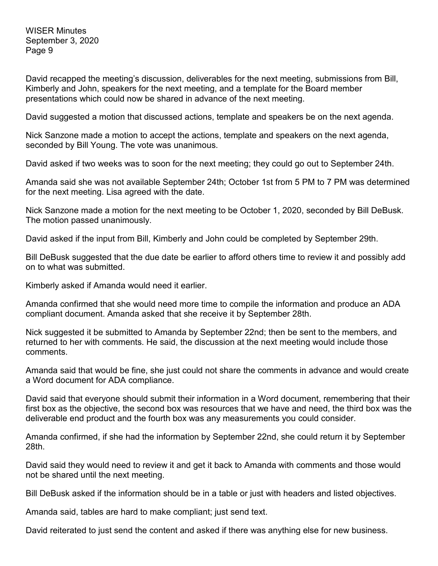David recapped the meeting's discussion, deliverables for the next meeting, submissions from Bill, Kimberly and John, speakers for the next meeting, and a template for the Board member presentations which could now be shared in advance of the next meeting.

David suggested a motion that discussed actions, template and speakers be on the next agenda.

Nick Sanzone made a motion to accept the actions, template and speakers on the next agenda, seconded by Bill Young. The vote was unanimous.

David asked if two weeks was to soon for the next meeting; they could go out to September 24th.

Amanda said she was not available September 24th; October 1st from 5 PM to 7 PM was determined for the next meeting. Lisa agreed with the date.

Nick Sanzone made a motion for the next meeting to be October 1, 2020, seconded by Bill DeBusk. The motion passed unanimously.

David asked if the input from Bill, Kimberly and John could be completed by September 29th.

Bill DeBusk suggested that the due date be earlier to afford others time to review it and possibly add on to what was submitted.

Kimberly asked if Amanda would need it earlier.

Amanda confirmed that she would need more time to compile the information and produce an ADA compliant document. Amanda asked that she receive it by September 28th.

Nick suggested it be submitted to Amanda by September 22nd; then be sent to the members, and returned to her with comments. He said, the discussion at the next meeting would include those comments.

Amanda said that would be fine, she just could not share the comments in advance and would create a Word document for ADA compliance.

David said that everyone should submit their information in a Word document, remembering that their first box as the objective, the second box was resources that we have and need, the third box was the deliverable end product and the fourth box was any measurements you could consider.

Amanda confirmed, if she had the information by September 22nd, she could return it by September 28th.

David said they would need to review it and get it back to Amanda with comments and those would not be shared until the next meeting.

Bill DeBusk asked if the information should be in a table or just with headers and listed objectives.

Amanda said, tables are hard to make compliant; just send text.

David reiterated to just send the content and asked if there was anything else for new business.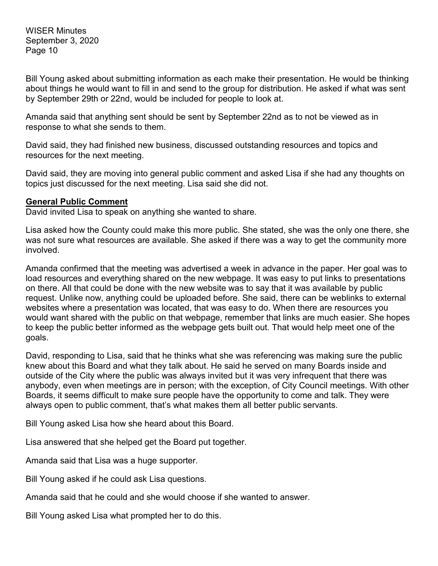Bill Young asked about submitting information as each make their presentation. He would be thinking about things he would want to fill in and send to the group for distribution. He asked if what was sent by September 29th or 22nd, would be included for people to look at.

Amanda said that anything sent should be sent by September 22nd as to not be viewed as in response to what she sends to them.

David said, they had finished new business, discussed outstanding resources and topics and resources for the next meeting.

David said, they are moving into general public comment and asked Lisa if she had any thoughts on topics just discussed for the next meeting. Lisa said she did not.

### **General Public Comment**

David invited Lisa to speak on anything she wanted to share.

Lisa asked how the County could make this more public. She stated, she was the only one there, she was not sure what resources are available. She asked if there was a way to get the community more involved.

Amanda confirmed that the meeting was advertised a week in advance in the paper. Her goal was to load resources and everything shared on the new webpage. It was easy to put links to presentations on there. All that could be done with the new website was to say that it was available by public request. Unlike now, anything could be uploaded before. She said, there can be weblinks to external websites where a presentation was located, that was easy to do. When there are resources you would want shared with the public on that webpage, remember that links are much easier. She hopes to keep the public better informed as the webpage gets built out. That would help meet one of the goals.

David, responding to Lisa, said that he thinks what she was referencing was making sure the public knew about this Board and what they talk about. He said he served on many Boards inside and outside of the City where the public was always invited but it was very infrequent that there was anybody, even when meetings are in person; with the exception, of City Council meetings. With other Boards, it seems difficult to make sure people have the opportunity to come and talk. They were always open to public comment, that's what makes them all better public servants.

Bill Young asked Lisa how she heard about this Board.

Lisa answered that she helped get the Board put together.

Amanda said that Lisa was a huge supporter.

Bill Young asked if he could ask Lisa questions.

Amanda said that he could and she would choose if she wanted to answer.

Bill Young asked Lisa what prompted her to do this.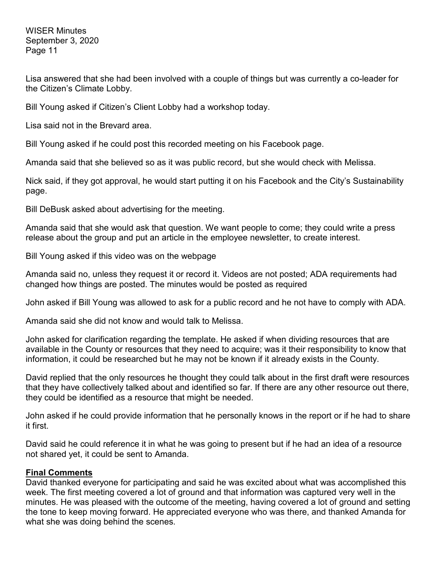Lisa answered that she had been involved with a couple of things but was currently a co-leader for the Citizen's Climate Lobby.

Bill Young asked if Citizen's Client Lobby had a workshop today.

Lisa said not in the Brevard area.

Bill Young asked if he could post this recorded meeting on his Facebook page.

Amanda said that she believed so as it was public record, but she would check with Melissa.

Nick said, if they got approval, he would start putting it on his Facebook and the City's Sustainability page.

Bill DeBusk asked about advertising for the meeting.

Amanda said that she would ask that question. We want people to come; they could write a press release about the group and put an article in the employee newsletter, to create interest.

Bill Young asked if this video was on the webpage

Amanda said no, unless they request it or record it. Videos are not posted; ADA requirements had changed how things are posted. The minutes would be posted as required

John asked if Bill Young was allowed to ask for a public record and he not have to comply with ADA.

Amanda said she did not know and would talk to Melissa.

John asked for clarification regarding the template. He asked if when dividing resources that are available in the County or resources that they need to acquire; was it their responsibility to know that information, it could be researched but he may not be known if it already exists in the County.

David replied that the only resources he thought they could talk about in the first draft were resources that they have collectively talked about and identified so far. If there are any other resource out there, they could be identified as a resource that might be needed.

John asked if he could provide information that he personally knows in the report or if he had to share it first.

David said he could reference it in what he was going to present but if he had an idea of a resource not shared yet, it could be sent to Amanda.

### **Final Comments**

David thanked everyone for participating and said he was excited about what was accomplished this week. The first meeting covered a lot of ground and that information was captured very well in the minutes. He was pleased with the outcome of the meeting, having covered a lot of ground and setting the tone to keep moving forward. He appreciated everyone who was there, and thanked Amanda for what she was doing behind the scenes.